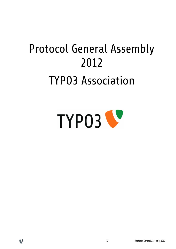# Protocol General Assembly 2012 TYPO3 Association





V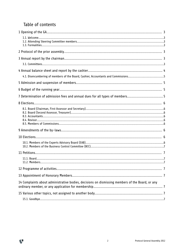# Table of contents

V

| 14 Complaints about administrative bodies, decisions on dismissing members of the Board, or any |  |
|-------------------------------------------------------------------------------------------------|--|
|                                                                                                 |  |
|                                                                                                 |  |

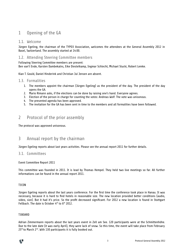# 1 Opening of the GA

## 1.1. Welcome

Jürgen Egeling, the chairman of the TYPO3 Association, welcomes the attendees at the General Assembly 2012 in Basel, Switzerland. The assembly started at 14:00.

## 1.2. Attending Steering Committee members

Following Steering Committee members are present: Ben van't Ende, Karsten Dambekalns, Eike Diestelkamp, Ingmar Schlecht, Michael Stucki, Robert Lemke.

Kian T. Gould, Daniel Hinderink and Christian Jul Jensen are absent.

## 1.3. Formalities

- 1. The members appoint the chairman (Jürgen Egeling) as the president of the day. The president of the day opens the GA.
- 2. Mario Rimann asks, if the elections can be done by raising one's hand. Everyone agrees.
- 3. Election of the person in charge for counting the votes: Andreas Wolf. The vote was unisonous.
- 4. The presented agenda has been approved.
- 5. The invitation for the GA has been sent in time to the members and all formalities have been followed.

## 2 Protocol of the prior assembly

The protocol was approved unisonous.

## 3 Annual report by the chairman

Jürgen Egeling reports about last years activities. Please see the annual report 2011 for further details.

#### 3.1. Committees

#### Event Committee Report 2011

This committee was founded in 2011. It is lead by Thomas Hempel. They held two live meetings so far. All further informations can be found in the annual report 2011.

#### T3CON

Jürgen Egeling reports about the last years conference. For the first time the conference took place in Hanau. It was necessary, because it is hard to find hotels in reasonable size. The new location provided better conditions (audio, video, size). But it had it's price. So the profit decreased significant. For 2012 a new location is found in Stuttgart Fellbach. The date is October 4<sup>th</sup> to 6<sup>th</sup> 2012.

#### T3BOARD

Adrian Zimmermann reports about the last years event in Zell am See. 120 participants were at the Schmittenhöhe. Due to the late date (it was early April), they were lack of snow. So this time, the event will take place from February 25<sup>th</sup> to March 2<sup>nd</sup>. With 130 participants it is fully booked out.

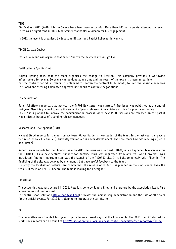T3DD

Die DevDays 2011 (7-10. July) in Sursee have been very successful. More then 200 participants attended the event. There was a significant surplus. Gina Steiner thanks Mario Rimann for his engagement.

In 2012 the event is organised by Sebastian Böttger und Patrick Lobacher in Munich.

#### T3CON Canada Quebec

Patrick Gaumond will organise that event. Shortly the new website will go live.

#### Certification / Quality Control

Jürgen Egeling tells, that the team organises the change to Pearson. This company provides a worldwide infrastructure for exams. So exams can be done at any time and the result of the exam is shown in realtime. But the contract period is 3 years. It is planned to shorten the contract to 12 month, to limit the possible expenses The Board and Steering Committee approved unisonous to continue negotiations.

#### Communication

Søren Schaffstein reports, that last year the TYPO3 Newsletter was started. A first issue was published at the end of last year. Also it is planned to raise the amount of press releases. A new picture archive for press went online. In 2012 it is planned to improve the communication process, when new TYPO3 versions are released. In the past it was difficulty, because of changing release managers.

#### Research and Development (RND)

Michael Stucki reports for the Version 4.x team: Oliver Harder is new leader of the team. In the last year there were two releases (4.5 LTS and 4.6). Currently version 4.7 is under development. The Core team had two meetings (Berlin and Sursee).

Robert Lemke reports for the Phoenix Team. In 2011 the focus was, to finish FLOW3, which happened two weeks after the T3CON11. As a new features support for doctrine (this was requested from any real world projects) was introduced. Another important step was the launch of the T3CON11 site. It is built completely with Phoenix. The finalising of the site was delayed by one month, but gave useful feedback to the team.

Currently the localisation features are completed. The release of FLOW 1.1 is planned in the next weeks. Then the team will focus on TYPO3 Phoenix. The team is looking for a designer.

#### FINANCIAL

The accounting was restructured in 2011. Now it is done by Sandra Krieg and therefore by the association itself. Also a new online solution is used.

The central shop solution [\(http://shop.typo3.org\)](http://shop.typo3.org/) provides the membership administration and the sale of all tickets for the official events. For 2012 it is planned to integrate the certification.

#### BCC

The committee was founded last year, to provide an external sight at the finances. In May 2011 the BCC started its work. Their reports can be found at<http://association.typo3.org/business-control-committee/bcc-reports/ref/assoc/>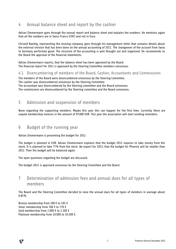# 4 Annual balance sheet and report by the cashier

Adrian Zimmermann goes through the annual report and balance sheet and explains the numbers. He mentions again that all the numbers are in Swiss Francs (CHF) and not in Euro.

Christof Baettig, representing the revising company, goes through his management letter that contains details about the external revision that has been done on the annual accounting of 2011. The changeover of the account from Swiss to Germany performed good. The structure of the accounting is well thought out and organised. He recommends to the Board the approval of the financial statements.

Adrian Zimmermann reports, that the balance sheet has been approved by the Board. The financial report for 2011 is approved by the Steering Committee members unisonous.

## 4.1. Disencumbering of members of the Board, Cashier, Accountants and Commissions

The members of the Board were disencumbered unisonous by the Steering Committee. The cashier was disencumbered unisonous by the Steering Committee. The accountant was disencumbered by the Steering committee and the Board unisonous. The commissions are disencumbered by the Steering committee and the Board unisonous.

## 5 Admission and suspension of members

None regarding the supporting members. Maybe this year this can happen for the first time. Currently there are unpaid membership invoices in the amount of 97.000 EUR. This year the association will start sending reminders.

## 6 Budget of the running year

Adrian Zimmermann is presenting the budget for 2012.

The budget is planned in EUR. Adrian Zimmermann explains that the budget 2012 requires to take money from the stock. It is planned to take 77% from the stock. We expect for 2013, that the budget for Phoenix will be smaller than 2012. Then the budget will be balanced again.

The open questions regarding the budget are discussed.

The budget 2012 is approved unisonous by the Steering Committee and the Board.

# 7 Determination of admission fees and annual dues for all types of members

The Board and the Steering Committee decided to raise the annual dues for all types of members in average about 6.85%:

Bronze membership from 100 € to 105 € Silver membership from 700 € to 770 € Gold membership from 2.000 € to 2.100 € Platinum membership from 10.000 to 10.500 €.

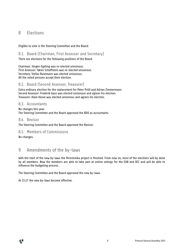# 8 Elections

Eligible to vote is the Steering Committee and the Board.

## 8.1. Board (Chairman, First Assessor and Secretary)

There are elections for the following positions of the Board.

Chairman: Jürgen Egeling was re-elected unisonous. First Assessor: Søren Schaffstein was re-elected unisonous. Secretary: Stefan Busemann was elected unisonous. All the voted persons accept their election.

## 8.2. Board (Second Assessor, Treasurer)

Extra ordinary election for the replacement for Peter Pröll and Adrian Zimmermann Second Assessor: Frederik Gaus was elected unisonous and agrees his election. Treasurer: Alain Veuve was elected unisonous and agrees his election.

## 8.3. Accountants

No changes this year. The Steering Committee and the Board approved the BDO as accountants.

## 8.4. Revisor

The Steering Committee and the Board approved the Revisor.

## 8.5. Members of Commissions

No changes.

## 9 Amendments of the by-laws

With the start of the new by-laws the Perestroika project is finished. From now on, most of the elections will by done by all members. Now the members are able to take part at online votings for the EAB and BCC and will be able to influence the budgeting process.

The Steering Committee and the Board approved the new by-laws.

At 15:27 the new by-laws became effective.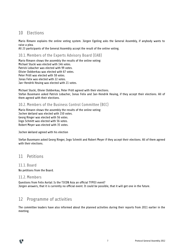# 10 Elections

Mario Rimann explains the online voting system. Jürgen Egeling asks the General Assembly, if anybody wants to raise a plea.

All 23 participants of the General Assembly accept the result of the online voting.

## 10.1. Members of the Experts Advisory Board (EAB)

Mario Rimann shows the assembly the results of the online voting: Michael Stucki was elected with 146 votes. Patrick Lobacher was elected with 99 votes. Olivier Dobberkau was elected with 67 votes. Peter Pröll was elected with 58 votes. Jonas Felix was elected with 22 votes. Jan-Hendrik Heuing was elected with 21 votes.

Michael Stucki, Olivier Dobberkau, Peter Pröll agreed with their elections. Stefan Busemann asked Patrick Lobacher, Jonas Felix and Jan-Hendrik Heuing, if they accept their elections. All of them agreed with their elections.

## 10.2. Members of the Business Control Committee (BCC)

Mario Rimann shows the assembly the results of the online voting: Jochen Weiland was elected with 150 votes. Georg Ringer was elected with 56 votes. Ingo Schmitt was elected with 56 votes. Robert Meyer was elected with 35 votes.

Jochen Weiland agreed with his election

Stefan Busemann asked Georg Ringer, Ingo Schmitt and Robert Meyer if they accept their elections. All of them agreed with their elections.

## 11 Petitions

#### 11.1. Board

No petitions from the Board.

## 11.2. Members

Questions from Felix Aortal: Is the T3CON Asia an official TYPO3 event? Jürgen answers, that it is currently no official event. It could be possible, that it will get one in the future.

## 12 Programme of activities

The committee leaders have also informed about the planned activities during their reports from 2011 earlier in the meeting.